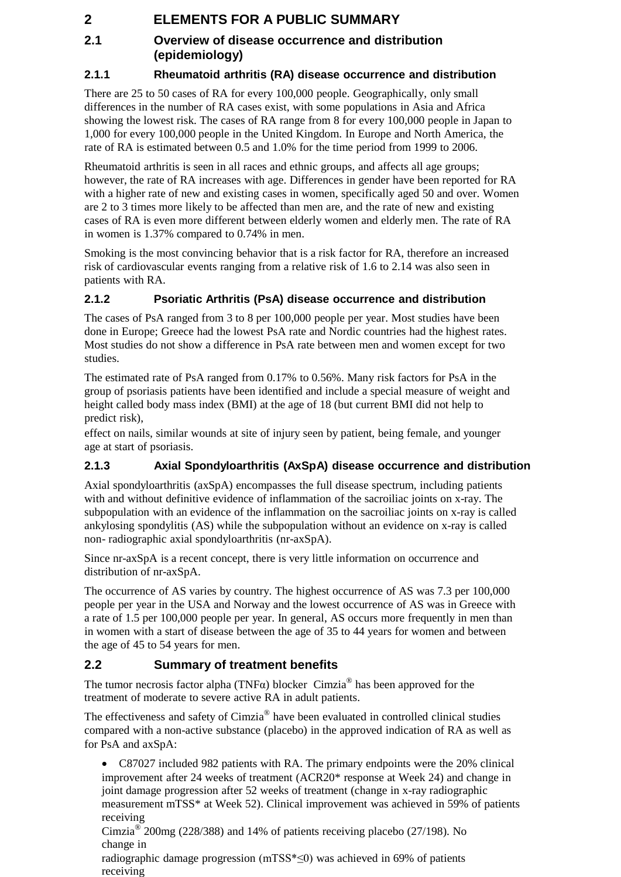# **2 ELEMENTS FOR A PUBLIC SUMMARY**

# **2.1 Overview of disease occurrence and distribution (epidemiology)**

## **2.1.1 Rheumatoid arthritis (RA) disease occurrence and distribution**

There are 25 to 50 cases of RA for every 100,000 people. Geographically, only small differences in the number of RA cases exist, with some populations in Asia and Africa showing the lowest risk. The cases of RA range from 8 for every 100,000 people in Japan to 1,000 for every 100,000 people in the United Kingdom. In Europe and North America, the rate of RA is estimated between 0.5 and 1.0% for the time period from 1999 to 2006.

Rheumatoid arthritis is seen in all races and ethnic groups, and affects all age groups; however, the rate of RA increases with age. Differences in gender have been reported for RA with a higher rate of new and existing cases in women, specifically aged 50 and over. Women are 2 to 3 times more likely to be affected than men are, and the rate of new and existing cases of RA is even more different between elderly women and elderly men. The rate of RA in women is 1.37% compared to 0.74% in men.

Smoking is the most convincing behavior that is a risk factor for RA, therefore an increased risk of cardiovascular events ranging from a relative risk of 1.6 to 2.14 was also seen in patients with RA.

#### **2.1.2 Psoriatic Arthritis (PsA) disease occurrence and distribution**

The cases of PsA ranged from 3 to 8 per 100,000 people per year. Most studies have been done in Europe; Greece had the lowest PsA rate and Nordic countries had the highest rates. Most studies do not show a difference in PsA rate between men and women except for two studies.

The estimated rate of PsA ranged from 0.17% to 0.56%. Many risk factors for PsA in the group of psoriasis patients have been identified and include a special measure of weight and height called body mass index (BMI) at the age of 18 (but current BMI did not help to predict risk),

effect on nails, similar wounds at site of injury seen by patient, being female, and younger age at start of psoriasis.

# **2.1.3 Axial Spondyloarthritis (AxSpA) disease occurrence and distribution**

Axial spondyloarthritis (axSpA) encompasses the full disease spectrum, including patients with and without definitive evidence of inflammation of the sacroiliac joints on x-ray. The subpopulation with an evidence of the inflammation on the sacroiliac joints on x-ray is called ankylosing spondylitis (AS) while the subpopulation without an evidence on x-ray is called non- radiographic axial spondyloarthritis (nr-axSpA).

Since nr-axSpA is a recent concept, there is very little information on occurrence and distribution of nr-axSpA.

The occurrence of AS varies by country. The highest occurrence of AS was 7.3 per 100,000 people per year in the USA and Norway and the lowest occurrence of AS was in Greece with a rate of 1.5 per 100,000 people per year. In general, AS occurs more frequently in men than in women with a start of disease between the age of 35 to 44 years for women and between the age of 45 to 54 years for men.

# **2.2 Summary of treatment benefits**

The tumor necrosis factor alpha (TNF $\alpha$ ) blocker Cimzia<sup>®</sup> has been approved for the treatment of moderate to severe active RA in adult patients.

The effectiveness and safety of Cimzia<sup>®</sup> have been evaluated in controlled clinical studies compared with a non-active substance (placebo) in the approved indication of RA as well as for PsA and axSpA:

• C87027 included 982 patients with RA. The primary endpoints were the 20% clinical improvement after 24 weeks of treatment (ACR20\* response at Week 24) and change in joint damage progression after 52 weeks of treatment (change in x-ray radiographic measurement mTSS\* at Week 52). Clinical improvement was achieved in 59% of patients receiving

Cimzia<sup>®</sup> 200mg (228/388) and 14% of patients receiving placebo (27/198). No change in

radiographic damage progression (mTSS\*≤0) was achieved in 69% of patients receiving